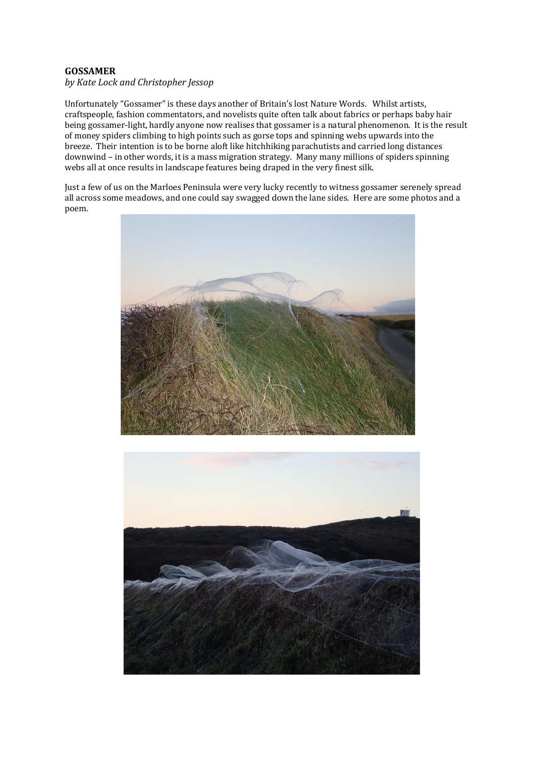## **GOSSAMER**

## *by Kate Lock and Christopher Jessop*

Unfortunately "Gossamer" is these days another of Britain's lost Nature Words. Whilst artists, craftspeople, fashion commentators, and novelists quite often talk about fabrics or perhaps baby hair being gossamer-light, hardly anyone now realises that gossamer is a natural phenomenon. It is the result of money spiders climbing to high points such as gorse tops and spinning webs upwards into the breeze. Their intention is to be borne aloft like hitchhiking parachutists and carried long distances downwind – in other words, it is a mass migration strategy. Many many millions of spiders spinning webs all at once results in landscape features being draped in the very finest silk.

Just a few of us on the Marloes Peninsula were very lucky recently to witness gossamer serenely spread all across some meadows, and one could say swagged down the lane sides. Here are some photos and a poem.